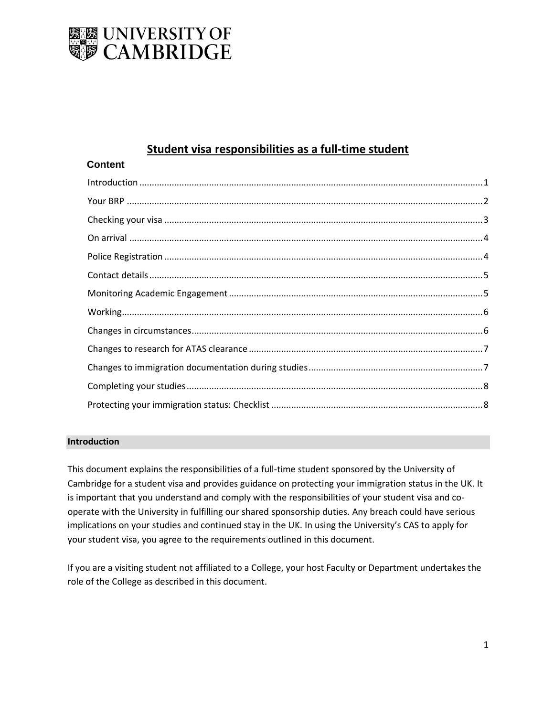

# **Student visa responsibilities as a full-time student**

| <b>Content</b>                                                                                                                                                                                                                                                                                                                                                                                                                                                   |  |
|------------------------------------------------------------------------------------------------------------------------------------------------------------------------------------------------------------------------------------------------------------------------------------------------------------------------------------------------------------------------------------------------------------------------------------------------------------------|--|
| $\label{lem:1} \mbox{Introduction} \,\, \ldots \,\, \ldots \,\, \ldots \,\, \ldots \,\, \ldots \,\, \ldots \,\, \ldots \,\, \ldots \,\, \ldots \,\, \ldots \,\, \ldots \,\, \ldots \,\, \ldots \,\, \ldots \,\, \ldots \,\, \ldots \,\, \ldots \,\, \ldots \,\, \ldots \,\, \ldots \,\, \ldots \,\, \ldots \,\, \ldots \,\, \ldots \,\, \ldots \,\, \ldots \,\, \ldots \,\, \ldots \,\, \ldots \,\, \ldots \,\, \ldots \,\, \ldots \,\, \ldots \,\, \ldots \,\,$ |  |
|                                                                                                                                                                                                                                                                                                                                                                                                                                                                  |  |
|                                                                                                                                                                                                                                                                                                                                                                                                                                                                  |  |
|                                                                                                                                                                                                                                                                                                                                                                                                                                                                  |  |
|                                                                                                                                                                                                                                                                                                                                                                                                                                                                  |  |
|                                                                                                                                                                                                                                                                                                                                                                                                                                                                  |  |
|                                                                                                                                                                                                                                                                                                                                                                                                                                                                  |  |
| $\text{Working} \textit{} \textit{} \textit{} \textit{} \textit{} \textit{} \textit{} \textit{} \textit{} \textit{} \textit{} \textit{} \textit{} \textit{} \textit{} \textit{} \textit{} \textit{} \textit{} \textit{} \textit{} \textit{} \textit{} \textit{} \textit{} \textit{} \textit{} \textit{} \textit{} \textit{} \textit{} \textit{} \textit{} \textit{} \textit{} \textit{$                                                                          |  |
|                                                                                                                                                                                                                                                                                                                                                                                                                                                                  |  |
|                                                                                                                                                                                                                                                                                                                                                                                                                                                                  |  |
|                                                                                                                                                                                                                                                                                                                                                                                                                                                                  |  |
|                                                                                                                                                                                                                                                                                                                                                                                                                                                                  |  |
|                                                                                                                                                                                                                                                                                                                                                                                                                                                                  |  |

### <span id="page-0-0"></span>**Introduction**

This document explains the responsibilities of a full-time student sponsored by the University of Cambridge for a student visa and provides guidance on protecting your immigration status in the UK. It is important that you understand and comply with the responsibilities of your student visa and cooperate with the University in fulfilling our shared sponsorship duties. Any breach could have serious implications on your studies and continued stay in the UK. In using the University's CAS to apply for your student visa, you agree to the requirements outlined in this document.

If you are a visiting student not affiliated to a College, your host Faculty or Department undertakes the role of the College as described in this document.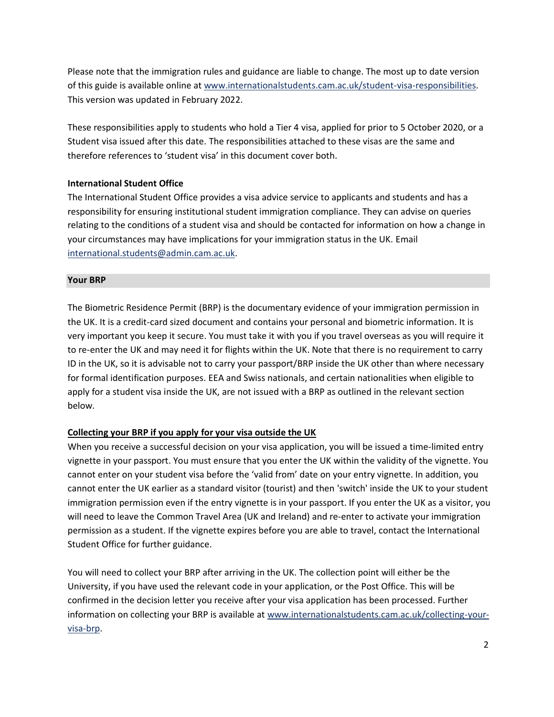Please note that the immigration rules and guidance are liable to change. The most up to date version of this guide is available online at [www.internationalstudents.cam.ac.uk/student-visa-responsibilities.](http://www.internationalstudents.cam.ac.uk/student-visa-responsibilities) This version was updated in February 2022.

These responsibilities apply to students who hold a Tier 4 visa, applied for prior to 5 October 2020, or a Student visa issued after this date. The responsibilities attached to these visas are the same and therefore references to 'student visa' in this document cover both.

### **International Student Office**

The International Student Office provides a visa advice service to applicants and students and has a responsibility for ensuring institutional student immigration compliance. They can advise on queries relating to the conditions of a student visa and should be contacted for information on how a change in your circumstances may have implications for your immigration status in the UK. Email [international.students@admin.cam.ac.uk.](mailto:international.students@admin.cam.ac.uk)

#### <span id="page-1-0"></span>**Your BRP**

The Biometric Residence Permit (BRP) is the documentary evidence of your immigration permission in the UK. It is a credit-card sized document and contains your personal and biometric information. It is very important you keep it secure. You must take it with you if you travel overseas as you will require it to re-enter the UK and may need it for flights within the UK. Note that there is no requirement to carry ID in the UK, so it is advisable not to carry your passport/BRP inside the UK other than where necessary for formal identification purposes. EEA and Swiss nationals, and certain nationalities when eligible to apply for a student visa inside the UK, are not issued with a BRP as outlined in the relevant section below.

### **Collecting your BRP if you apply for your visa outside the UK**

When you receive a successful decision on your visa application, you will be issued a time-limited entry vignette in your passport. You must ensure that you enter the UK within the validity of the vignette. You cannot enter on your student visa before the 'valid from' date on your entry vignette. In addition, you cannot enter the UK earlier as a standard visitor (tourist) and then 'switch' inside the UK to your student immigration permission even if the entry vignette is in your passport. If you enter the UK as a visitor, you will need to leave the Common Travel Area (UK and Ireland) and re-enter to activate your immigration permission as a student. If the vignette expires before you are able to travel, contact the International Student Office for further guidance.

You will need to collect your BRP after arriving in the UK. The collection point will either be the University, if you have used the relevant code in your application, or the Post Office. This will be confirmed in the decision letter you receive after your visa application has been processed. Further information on collecting your BRP is available at [www.internationalstudents.cam.ac.uk/collecting-your](http://www.internationalstudents.cam.ac.uk/collecting-your-visa-brp)[visa-brp.](http://www.internationalstudents.cam.ac.uk/collecting-your-visa-brp)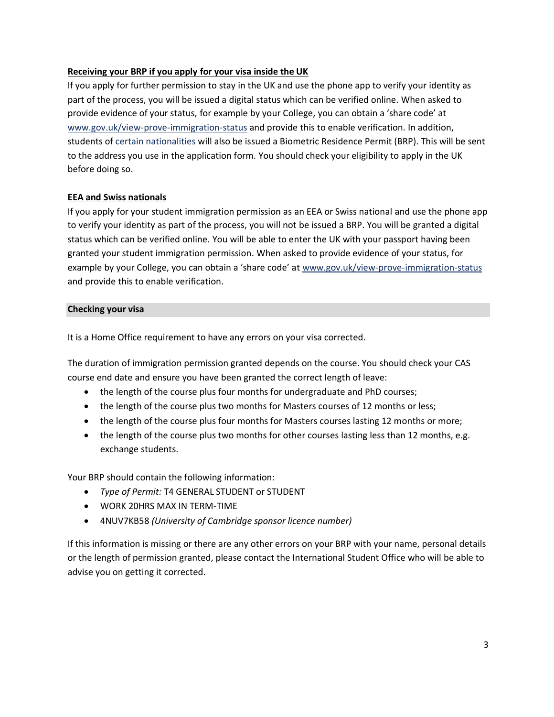## **Receiving your BRP if you apply for your visa inside the UK**

If you apply for further permission to stay in the UK and use the phone app to verify your identity as part of the process, you will be issued a digital status which can be verified online. When asked to provide evidence of your status, for example by your College, you can obtain a 'share code' at [www.gov.uk/view-prove-immigration-status](http://www.gov.uk/view-prove-immigration-status) and provide this to enable verification. In addition, students of [certain nationalities](https://www.gov.uk/guidance/immigration-rules/immigration-rules-appendix-visitor-visa-national-list) will also be issued a Biometric Residence Permit (BRP). This will be sent to the address you use in the application form. You should check your eligibility to apply in the UK before doing so.

## **EEA and Swiss nationals**

If you apply for your student immigration permission as an EEA or Swiss national and use the phone app to verify your identity as part of the process, you will not be issued a BRP. You will be granted a digital status which can be verified online. You will be able to enter the UK with your passport having been granted your student immigration permission. When asked to provide evidence of your status, for example by your College, you can obtain a 'share code' at [www.gov.uk/view-prove-immigration-status](http://www.gov.uk/view-prove-immigration-status) and provide this to enable verification.

### <span id="page-2-0"></span>**Checking your visa**

It is a Home Office requirement to have any errors on your visa corrected.

The duration of immigration permission granted depends on the course. You should check your CAS course end date and ensure you have been granted the correct length of leave:

- the length of the course plus four months for undergraduate and PhD courses;
- the length of the course plus two months for Masters courses of 12 months or less;
- the length of the course plus four months for Masters courses lasting 12 months or more;
- the length of the course plus two months for other courses lasting less than 12 months, e.g. exchange students.

Your BRP should contain the following information:

- *Type of Permit:* T4 GENERAL STUDENT or STUDENT
- WORK 20HRS MAX IN TERM-TIME
- 4NUV7KB58 *(University of Cambridge sponsor licence number)*

If this information is missing or there are any other errors on your BRP with your name, personal details or the length of permission granted, please contact the International Student Office who will be able to advise you on getting it corrected.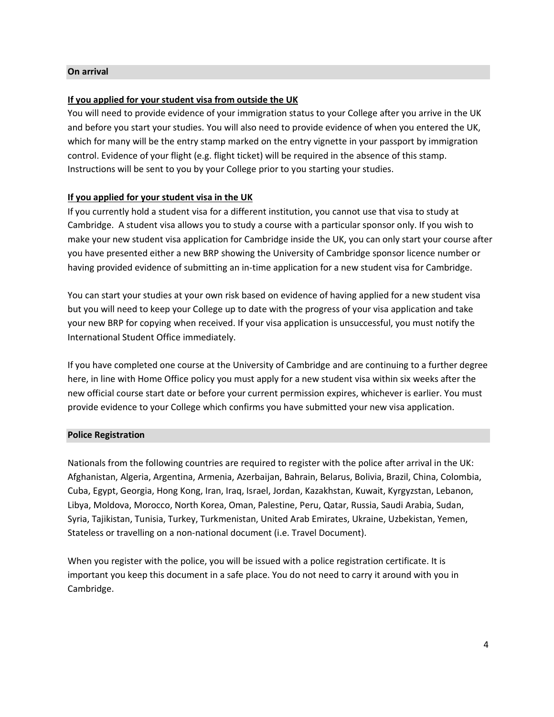#### <span id="page-3-0"></span>**On arrival**

#### **If you applied for your student visa from outside the UK**

You will need to provide evidence of your immigration status to your College after you arrive in the UK and before you start your studies. You will also need to provide evidence of when you entered the UK, which for many will be the entry stamp marked on the entry vignette in your passport by immigration control. Evidence of your flight (e.g. flight ticket) will be required in the absence of this stamp. Instructions will be sent to you by your College prior to you starting your studies.

#### **If you applied for your student visa in the UK**

If you currently hold a student visa for a different institution, you cannot use that visa to study at Cambridge. A student visa allows you to study a course with a particular sponsor only. If you wish to make your new student visa application for Cambridge inside the UK, you can only start your course after you have presented either a new BRP showing the University of Cambridge sponsor licence number or having provided evidence of submitting an in-time application for a new student visa for Cambridge.

You can start your studies at your own risk based on evidence of having applied for a new student visa but you will need to keep your College up to date with the progress of your visa application and take your new BRP for copying when received. If your visa application is unsuccessful, you must notify the International Student Office immediately.

If you have completed one course at the University of Cambridge and are continuing to a further degree here, in line with Home Office policy you must apply for a new student visa within six weeks after the new official course start date or before your current permission expires, whichever is earlier. You must provide evidence to your College which confirms you have submitted your new visa application.

#### <span id="page-3-1"></span>**Police Registration**

Nationals from the following countries are required to register with the police after arrival in the UK: Afghanistan, Algeria, Argentina, Armenia, Azerbaijan, Bahrain, Belarus, Bolivia, Brazil, China, Colombia, Cuba, Egypt, Georgia, Hong Kong, Iran, Iraq, Israel, Jordan, Kazakhstan, Kuwait, Kyrgyzstan, Lebanon, Libya, Moldova, Morocco, North Korea, Oman, Palestine, Peru, Qatar, Russia, Saudi Arabia, Sudan, Syria, Tajikistan, Tunisia, Turkey, Turkmenistan, United Arab Emirates, Ukraine, Uzbekistan, Yemen, Stateless or travelling on a non-national document (i.e. Travel Document).

When you register with the police, you will be issued with a police registration certificate. It is important you keep this document in a safe place. You do not need to carry it around with you in Cambridge.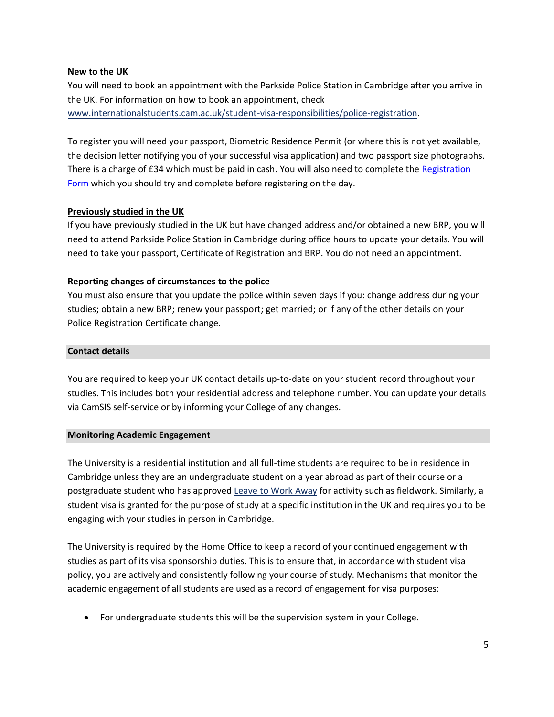### **New to the UK**

You will need to book an appointment with the Parkside Police Station in Cambridge after you arrive in the UK. For information on how to book an appointment, check [www.internationalstudents.cam.ac.uk/student-visa-responsibilities/police-registration.](http://www.internationalstudents.cam.ac.uk/student-visa-responsibilities/police-registration)

To register you will need your passport, Biometric Residence Permit (or where this is not yet available, the decision letter notifying you of your successful visa application) and two passport size photographs. There is a charge of £34 which must be paid in cash. You will also need to complete the Registration [Form](http://www.internationalstudents.cam.ac.uk/files/police_registration_form.pdf) which you should try and complete before registering on the day.

## **Previously studied in the UK**

If you have previously studied in the UK but have changed address and/or obtained a new BRP, you will need to attend Parkside Police Station in Cambridge during office hours to update your details. You will need to take your passport, Certificate of Registration and BRP. You do not need an appointment.

## **Reporting changes of circumstances to the police**

You must also ensure that you update the police within seven days if you: change address during your studies; obtain a new BRP; renew your passport; get married; or if any of the other details on your Police Registration Certificate change.

### <span id="page-4-0"></span>**Contact details**

You are required to keep your UK contact details up-to-date on your student record throughout your studies. This includes both your residential address and telephone number. You can update your details via CamSIS self-service or by informing your College of any changes.

### <span id="page-4-1"></span>**Monitoring Academic Engagement**

The University is a residential institution and all full-time students are required to be in residence in Cambridge unless they are an undergraduate student on a year abroad as part of their course or a postgraduate student who has approved [Leave to Work Away](https://www.cambridgestudents.cam.ac.uk/your-course/postgraduate-study/your-student-status/work-away) for activity such as fieldwork. Similarly, a student visa is granted for the purpose of study at a specific institution in the UK and requires you to be engaging with your studies in person in Cambridge.

The University is required by the Home Office to keep a record of your continued engagement with studies as part of its visa sponsorship duties. This is to ensure that, in accordance with student visa policy, you are actively and consistently following your course of study. Mechanisms that monitor the academic engagement of all students are used as a record of engagement for visa purposes:

• For undergraduate students this will be the supervision system in your College.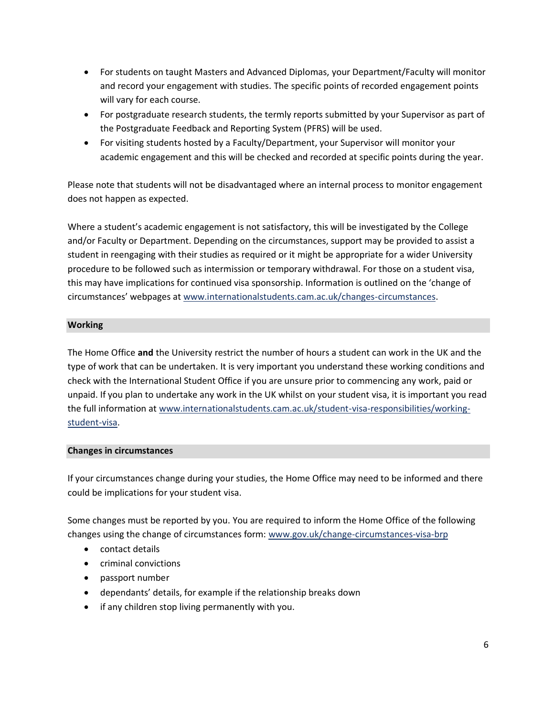- For students on taught Masters and Advanced Diplomas, your Department/Faculty will monitor and record your engagement with studies. The specific points of recorded engagement points will vary for each course.
- For postgraduate research students, the termly reports submitted by your Supervisor as part of the Postgraduate Feedback and Reporting System (PFRS) will be used.
- For visiting students hosted by a Faculty/Department, your Supervisor will monitor your academic engagement and this will be checked and recorded at specific points during the year.

Please note that students will not be disadvantaged where an internal process to monitor engagement does not happen as expected.

Where a student's academic engagement is not satisfactory, this will be investigated by the College and/or Faculty or Department. Depending on the circumstances, support may be provided to assist a student in reengaging with their studies as required or it might be appropriate for a wider University procedure to be followed such as intermission or temporary withdrawal. For those on a student visa, this may have implications for continued visa sponsorship. Information is outlined on the 'change of circumstances' webpages at [www.internationalstudents.cam.ac.uk/changes-circumstances.](file:///C:/Users/sreg4/Documents/www.internationalstudents.cam.ac.uk/changes-circumstances)

## <span id="page-5-0"></span>**Working**

The Home Office **and** the University restrict the number of hours a student can work in the UK and the type of work that can be undertaken. It is very important you understand these working conditions and check with the International Student Office if you are unsure prior to commencing any work, paid or unpaid. If you plan to undertake any work in the UK whilst on your student visa, it is important you read the full information at [www.internationalstudents.cam.ac.uk/student-visa-responsibilities/working](http://www.internationalstudents.cam.ac.uk/student-visa-responsibilities/working-student-visa)[student-visa.](http://www.internationalstudents.cam.ac.uk/student-visa-responsibilities/working-student-visa)

### <span id="page-5-1"></span>**Changes in circumstances**

If your circumstances change during your studies, the Home Office may need to be informed and there could be implications for your student visa.

Some changes must be reported by you. You are required to inform the Home Office of the following changes using the change of circumstances form: [www.gov.uk/change-circumstances-visa-brp](http://www.gov.uk/change-circumstances-visa-brp)

- contact details
- criminal convictions
- passport number
- dependants' details, for example if the relationship breaks down
- if any children stop living permanently with you.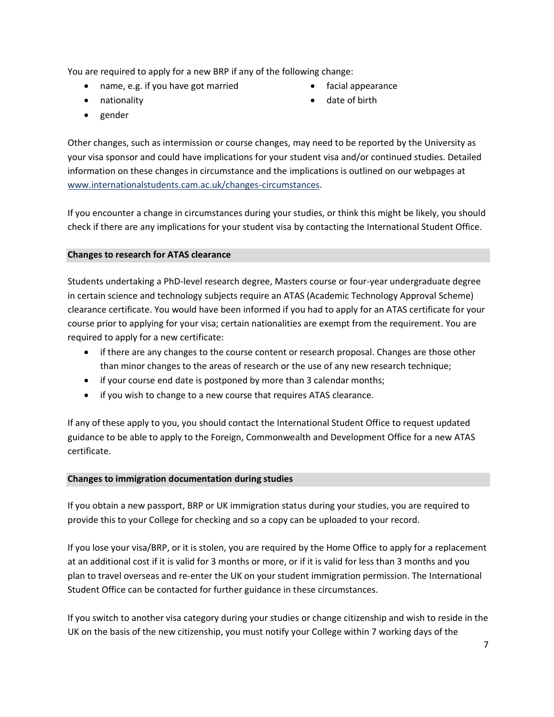You are required to apply for a new BRP if any of the following change:

- name, e.g. if you have got married
- facial appearance

• nationality

date of birth

• gender

Other changes, such as intermission or course changes, may need to be reported by the University as your visa sponsor and could have implications for your student visa and/or continued studies. Detailed information on these changes in circumstance and the implications is outlined on our webpages at [www.internationalstudents.cam.ac.uk/changes-circumstances.](http://www.internationalstudents.cam.ac.uk/changes-circumstances)

If you encounter a change in circumstances during your studies, or think this might be likely, you should check if there are any implications for your student visa by contacting the International Student Office.

## <span id="page-6-0"></span>**Changes to research for ATAS clearance**

Students undertaking a PhD-level research degree, Masters course or four-year undergraduate degree in certain science and technology subjects require an ATAS (Academic Technology Approval Scheme) clearance certificate. You would have been informed if you had to apply for an ATAS certificate for your course prior to applying for your visa; certain nationalities are exempt from the requirement. You are required to apply for a new certificate:

- if there are any changes to the course content or research proposal. Changes are those other than minor changes to the areas of research or the use of any new research technique;
- if your course end date is postponed by more than 3 calendar months;
- if you wish to change to a new course that requires ATAS clearance.

If any of these apply to you, you should contact the International Student Office to request updated guidance to be able to apply to the Foreign, Commonwealth and Development Office for a new ATAS certificate.

### <span id="page-6-1"></span>**Changes to immigration documentation during studies**

If you obtain a new passport, BRP or UK immigration status during your studies, you are required to provide this to your College for checking and so a copy can be uploaded to your record.

If you lose your visa/BRP, or it is stolen, you are required by the Home Office to apply for a replacement at an additional cost if it is valid for 3 months or more, or if it is valid for less than 3 months and you plan to travel overseas and re-enter the UK on your student immigration permission. The International Student Office can be contacted for further guidance in these circumstances.

If you switch to another visa category during your studies or change citizenship and wish to reside in the UK on the basis of the new citizenship, you must notify your College within 7 working days of the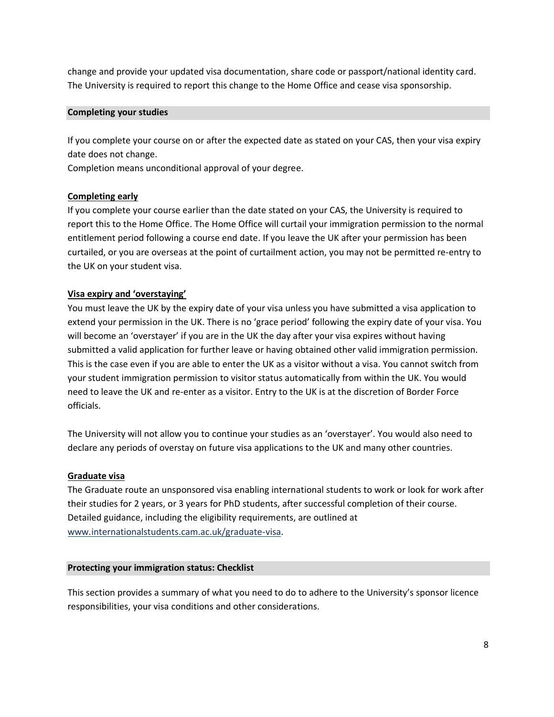change and provide your updated visa documentation, share code or passport/national identity card. The University is required to report this change to the Home Office and cease visa sponsorship.

#### <span id="page-7-0"></span>**Completing your studies**

If you complete your course on or after the expected date as stated on your CAS, then your visa expiry date does not change.

Completion means unconditional approval of your degree.

### **Completing early**

If you complete your course earlier than the date stated on your CAS, the University is required to report this to the Home Office. The Home Office will curtail your immigration permission to the normal entitlement period following a course end date. If you leave the UK after your permission has been curtailed, or you are overseas at the point of curtailment action, you may not be permitted re-entry to the UK on your student visa.

## **Visa expiry and 'overstaying'**

You must leave the UK by the expiry date of your visa unless you have submitted a visa application to extend your permission in the UK. There is no 'grace period' following the expiry date of your visa. You will become an 'overstayer' if you are in the UK the day after your visa expires without having submitted a valid application for further leave or having obtained other valid immigration permission. This is the case even if you are able to enter the UK as a visitor without a visa. You cannot switch from your student immigration permission to visitor status automatically from within the UK. You would need to leave the UK and re-enter as a visitor. Entry to the UK is at the discretion of Border Force officials.

The University will not allow you to continue your studies as an 'overstayer'. You would also need to declare any periods of overstay on future visa applications to the UK and many other countries.

### **Graduate visa**

The Graduate route an unsponsored visa enabling international students to work or look for work after their studies for 2 years, or 3 years for PhD students, after successful completion of their course. Detailed guidance, including the eligibility requirements, are outlined at [www.internationalstudents.cam.ac.uk/graduate-visa.](http://www.internationalstudents.cam.ac.uk/graduate-visa)

### <span id="page-7-1"></span>**Protecting your immigration status: Checklist**

This section provides a summary of what you need to do to adhere to the University's sponsor licence responsibilities, your visa conditions and other considerations.